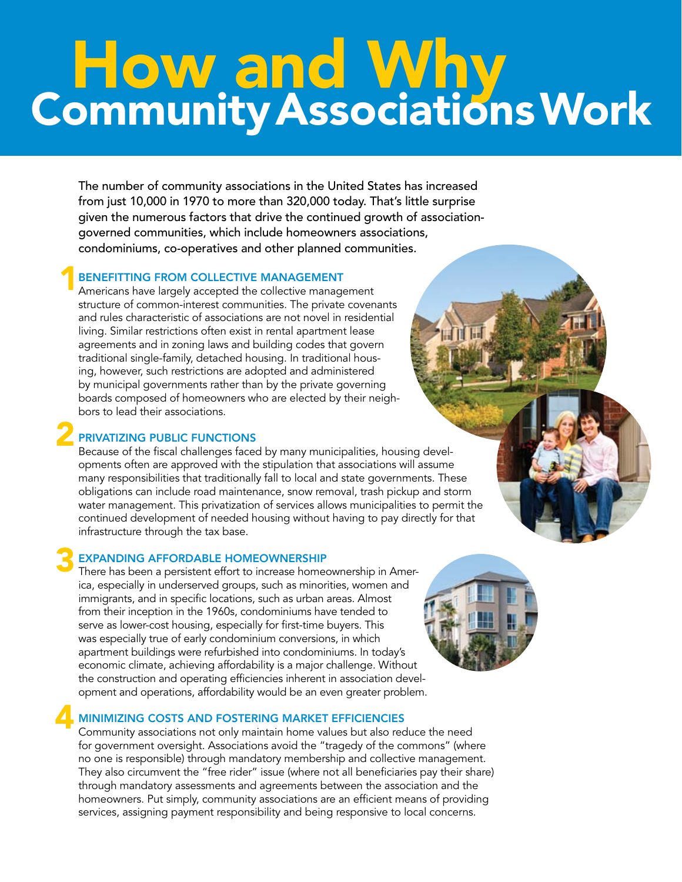# How and Why<br>Community Associations Work

The number of community associations in the United States has increased from just 10,000 in 1970 to more than 320,000 today. That's little surprise given the numerous factors that drive the continued growth of associationgoverned communities, which include homeowners associations, condominiums, co-operatives and other planned communities.

# Benefitting from Collective Management 1

Americans have largely accepted the collective management structure of common-interest communities. The private covenants and rules characteristic of associations are not novel in residential living. Similar restrictions often exist in rental apartment lease agreements and in zoning laws and building codes that govern traditional single-family, detached housing. In traditional housing, however, such restrictions are adopted and administered by municipal governments rather than by the private governing boards composed of homeowners who are elected by their neighbors to lead their associations.

# Privatizing Public Functions 2

Because of the fiscal challenges faced by many municipalities, housing developments often are approved with the stipulation that associations will assume many responsibilities that traditionally fall to local and state governments. These obligations can include road maintenance, snow removal, trash pickup and storm water management. This privatization of services allows municipalities to permit the continued development of needed housing without having to pay directly for that infrastructure through the tax base.

# Expanding Affordable Homeownership 3

There has been a persistent effort to increase homeownership in America, especially in underserved groups, such as minorities, women and immigrants, and in specific locations, such as urban areas. Almost from their inception in the 1960s, condominiums have tended to serve as lower-cost housing, especially for first-time buyers. This was especially true of early condominium conversions, in which apartment buildings were refurbished into condominiums. In today's economic climate, achieving affordability is a major challenge. Without the construction and operating efficiencies inherent in association development and operations, affordability would be an even greater problem.

# Minimizing Costs and Fostering Market Efficiencies 4

Community associations not only maintain home values but also reduce the need for government oversight. Associations avoid the "tragedy of the commons" (where no one is responsible) through mandatory membership and collective management. They also circumvent the "free rider" issue (where not all beneficiaries pay their share) through mandatory assessments and agreements between the association and the homeowners. Put simply, community associations are an efficient means of providing services, assigning payment responsibility and being responsive to local concerns.